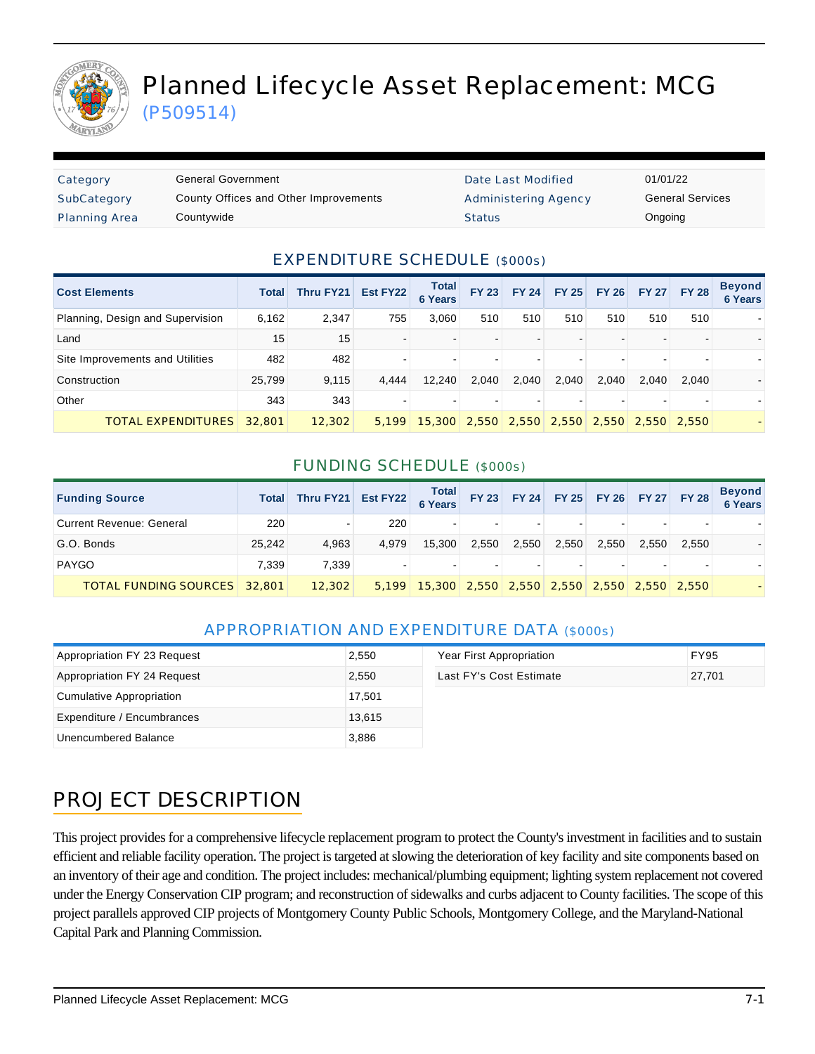

# Planned Lifecycle Asset Replacement: MCG

(P509514)

| Category             | General Government                    | Date Last Modified          | 01/01/22 |
|----------------------|---------------------------------------|-----------------------------|----------|
| SubCategory          | County Offices and Other Improvements | <b>Administering Agency</b> | General  |
| <b>Planning Area</b> | Countywide                            | <b>Status</b>               | Ongoing  |

Date Last Modified 01/01/22 Administering Agency **General Services** 

#### EXPENDITURE SCHEDULE (\$000s)

| <b>Cost Elements</b>             | <b>Total</b> | <b>Thru FY21</b> | Est FY22 | <b>Total</b><br><b>6 Years</b>             | <b>FY 23</b>   | <b>FY 24</b> | <b>FY 25</b> | <b>FY 26</b> | <b>FY 27</b> | <b>FY 28</b> | <b>Beyond</b><br><b>6 Years</b> |
|----------------------------------|--------------|------------------|----------|--------------------------------------------|----------------|--------------|--------------|--------------|--------------|--------------|---------------------------------|
| Planning, Design and Supervision | 6,162        | 2,347            | 755      | 3.060                                      | 510            | 510          | 510          | 510          | 510          | 510          |                                 |
| Land                             | 15           | 15               |          |                                            |                |              |              |              |              |              |                                 |
| Site Improvements and Utilities  | 482          | 482              |          |                                            | $\,$           |              |              |              | -            | -            |                                 |
| Construction                     | 25,799       | 9,115            | 4.444    | 12.240                                     | 2.040          | 2,040        | 2,040        | 2.040        | 2.040        | 2.040        |                                 |
| Other                            | 343          | 343              |          |                                            | $\blacksquare$ |              |              |              |              | -            |                                 |
| <b>TOTAL EXPENDITURES</b>        | 32,801       | 12,302           | 5.199    | 15,300 2,550 2,550 2,550 2,550 2,550 2,550 |                |              |              |              |              |              |                                 |

#### FUNDING SCHEDULE (\$000s)

| <b>Funding Source</b>               | <b>Total</b> | Thru FY21 | Est FY22 Total |                                            | <b>FY 23</b>             |       | FY 24 FY 25 FY 26 FY 27 FY 28 |       |       |                | <b>Beyond</b><br>6 Years |
|-------------------------------------|--------------|-----------|----------------|--------------------------------------------|--------------------------|-------|-------------------------------|-------|-------|----------------|--------------------------|
| <b>Current Revenue: General</b>     | 220          |           | 220            |                                            | $\blacksquare$           |       |                               |       |       |                |                          |
| G.O. Bonds                          | 25.242       | 4.963     | 4.979          | 15.300                                     | 2,550                    | 2,550 | 2,550                         | 2,550 | 2.550 | 2.550          |                          |
| PAYGO                               | 7.339        | 7.339     |                | -                                          | $\overline{\phantom{a}}$ |       |                               |       |       | $\blacksquare$ |                          |
| <b>TOTAL FUNDING SOURCES</b> 32,801 |              | 12,302    | 5.199          | 15,300 2,550 2,550 2,550 2,550 2,550 2,550 |                          |       |                               |       |       |                |                          |

#### APPROPRIATION AND EXPENDITURE DATA (\$000s)

| Appropriation FY 23 Request | 2,550  | Year First Appropriation | <b>FY95</b> |
|-----------------------------|--------|--------------------------|-------------|
| Appropriation FY 24 Request | 2.550  | Last FY's Cost Estimate  | 27.701      |
| Cumulative Appropriation    | 17,501 |                          |             |
| Expenditure / Encumbrances  | 13,615 |                          |             |
| Unencumbered Balance        | 3,886  |                          |             |

## PROJECT DESCRIPTION

This project provides for a comprehensive lifecycle replacement program to protect the County's investment in facilities and to sustain efficient and reliable facility operation. The project is targeted at slowing the deterioration of key facility and site components based on an inventory of their age and condition. The project includes: mechanical/plumbing equipment; lighting system replacement not covered under the Energy Conservation CIP program; and reconstruction of sidewalks and curbs adjacent to County facilities. The scope of this project parallels approved CIP projects of Montgomery County Public Schools, Montgomery College, and the Maryland-National Capital Park and Planning Commission.